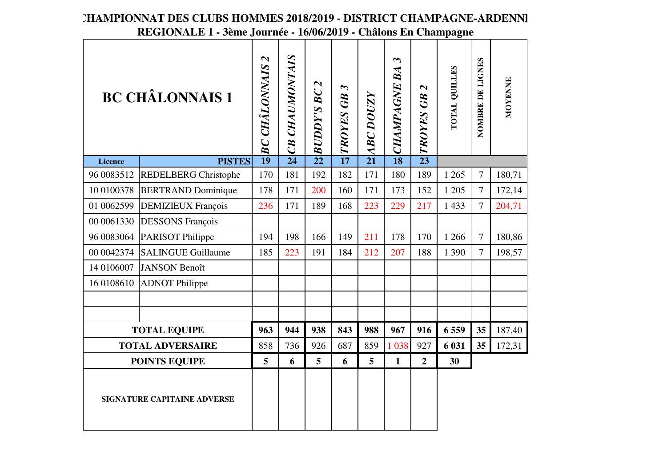|                                    | ovinc gournee               |                                                        |                   | $\boldsymbol{1}$ vives $\boldsymbol{1}$      |                                    |                  |                                          |                                        | Charons En Champagne |                  |         |
|------------------------------------|-----------------------------|--------------------------------------------------------|-------------------|----------------------------------------------|------------------------------------|------------------|------------------------------------------|----------------------------------------|----------------------|------------------|---------|
|                                    | <b>BC CHÂLONNAIS 1</b>      | $\boldsymbol{\mathsf{\Omega}}$<br><b>BC CHÂLONNAIS</b> | CHAUMONTAIS<br>CB | $\boldsymbol{\mathsf{\Omega}}$<br>BUDDY'S BC | $\boldsymbol{\omega}$<br>TROYES GB | <b>ABC DOUZY</b> | $\boldsymbol{\omega}$<br>BA<br>CHAMPAGNE | $\boldsymbol{\mathsf{N}}$<br>TROYES GB | TOTAL QUILLES        | NOMBRE DE LIGNES | MOYENNE |
| <b>Licence</b>                     | <b>PISTES</b>               | $\overline{19}$                                        | $\overline{24}$   | $\overline{22}$                              | $\overline{17}$                    | $\overline{21}$  | $\overline{18}$                          | $\overline{23}$                        |                      |                  |         |
| 96 0083512                         | <b>REDELBERG Christophe</b> | 170                                                    | 181               | 192                                          | 182                                | 171              | 180                                      | 189                                    | 1 2 6 5              | $\overline{7}$   | 180,71  |
| 10 0100378                         | <b>BERTRAND Dominique</b>   | 178                                                    | 171               | 200                                          | 160                                | 171              | 173                                      | 152                                    | 1 205                | $\overline{7}$   | 172,14  |
| 01 0062599                         | <b>DEMIZIEUX François</b>   | 236                                                    | 171               | 189                                          | 168                                | 223              | 229                                      | 217                                    | 1 4 3 3              | $\overline{7}$   | 204,71  |
| 00 0061330                         | <b>DESSONS</b> François     |                                                        |                   |                                              |                                    |                  |                                          |                                        |                      |                  |         |
| 96 0083064                         | PARISOT Philippe            | 194                                                    | 198               | 166                                          | 149                                | 211              | 178                                      | 170                                    | 1 2 6 6              | $\overline{7}$   | 180,86  |
| 00 0042374                         | <b>SALINGUE Guillaume</b>   | 185                                                    | 223               | 191                                          | 184                                | 212              | 207                                      | 188                                    | 1 3 9 0              | 7                | 198,57  |
| 14 0106007                         | <b>JANSON Benoît</b>        |                                                        |                   |                                              |                                    |                  |                                          |                                        |                      |                  |         |
| 16 0108610                         | <b>ADNOT Philippe</b>       |                                                        |                   |                                              |                                    |                  |                                          |                                        |                      |                  |         |
|                                    |                             |                                                        |                   |                                              |                                    |                  |                                          |                                        |                      |                  |         |
|                                    |                             |                                                        |                   |                                              |                                    |                  |                                          |                                        |                      |                  |         |
|                                    | <b>TOTAL EQUIPE</b>         | 963                                                    | 944               | 938                                          | 843                                | 988              | 967                                      | 916                                    | 6 5 5 9              | 35               | 187,40  |
|                                    | <b>TOTAL ADVERSAIRE</b>     | 858                                                    | 736               | 926                                          | 687                                | 859              | 1 0 38                                   | 927                                    | 6 031                | 35               | 172,31  |
| <b>POINTS EQUIPE</b>               |                             | 5                                                      | 6                 | 5                                            | 6                                  | $5\overline{)}$  | $\mathbf{1}$                             | $\overline{2}$                         | 30                   |                  |         |
| <b>SIGNATURE CAPITAINE ADVERSE</b> |                             |                                                        |                   |                                              |                                    |                  |                                          |                                        |                      |                  |         |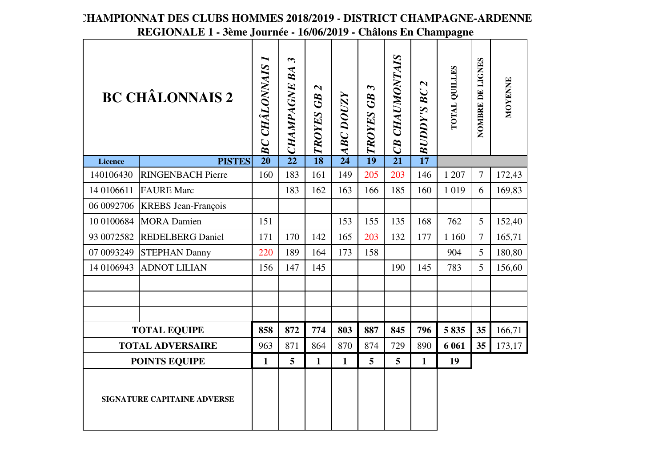|                                    | <b>BC CHÂLONNAIS 2</b>     | <b>BC CHÂLONNAIS</b> | $\boldsymbol{\omega}$<br><b>CHAMPAGNE BA</b> | $\boldsymbol{\mathcal{L}}$<br>TROYES GB | <b>ABC DOUZY</b> | $\boldsymbol{\omega}$<br>TROYES GB | CB CHAUMONTAIS  | <b>BUDDY'S BC 2</b> | <b>POTAL QUILLES</b> | NOMBRE DE LIGNES | MOYENNE |
|------------------------------------|----------------------------|----------------------|----------------------------------------------|-----------------------------------------|------------------|------------------------------------|-----------------|---------------------|----------------------|------------------|---------|
| <b>Licence</b>                     | <b>PISTES</b>              | $\overline{20}$      | $\overline{22}$                              | $\overline{18}$                         | $\overline{24}$  | $\overline{19}$                    | $\overline{21}$ | $\overline{17}$     |                      |                  |         |
| 140106430                          | <b>RINGENBACH Pierre</b>   | 160                  | 183                                          | 161                                     | 149              | 205                                | 203             | 146                 | 1 207                | $\overline{7}$   | 172,43  |
| 14 0106611                         | <b>FAURE</b> Marc          |                      | 183                                          | 162                                     | 163              | 166                                | 185             | 160                 | 1 0 1 9              | 6                | 169,83  |
| 06 0092706                         | <b>KREBS</b> Jean-François |                      |                                              |                                         |                  |                                    |                 |                     |                      |                  |         |
| 10 0100684                         | <b>MORA</b> Damien         | 151                  |                                              |                                         | 153              | 155                                | 135             | 168                 | 762                  | 5                | 152,40  |
| 93 0072582                         | <b>REDELBERG Daniel</b>    | 171                  | 170                                          | 142                                     | 165              | 203                                | 132             | 177                 | 1 160                | $\overline{7}$   | 165,71  |
| 07 0093249                         | <b>STEPHAN Danny</b>       | 220                  | 189                                          | 164                                     | 173              | 158                                |                 |                     | 904                  | 5                | 180,80  |
| 14 0106943                         | <b>ADNOT LILIAN</b>        | 156                  | 147                                          | 145                                     |                  |                                    | 190             | 145                 | 783                  | $5\overline{)}$  | 156,60  |
|                                    |                            |                      |                                              |                                         |                  |                                    |                 |                     |                      |                  |         |
|                                    |                            |                      |                                              |                                         |                  |                                    |                 |                     |                      |                  |         |
|                                    |                            |                      |                                              |                                         |                  |                                    |                 |                     |                      |                  |         |
|                                    | <b>TOTAL EQUIPE</b>        | 858                  | 872                                          | 774                                     | 803              | 887                                | 845             | 796                 | 5835                 | 35               | 166,71  |
|                                    | <b>TOTAL ADVERSAIRE</b>    | 963                  | 871                                          | 864                                     | 870              | 874                                | 729             | 890                 | 6 0 6 1              | 35               | 173,17  |
|                                    | <b>POINTS EQUIPE</b>       | $\mathbf{1}$         | 5                                            | $\mathbf{1}$                            | $\mathbf{1}$     | 5                                  | 5               | $\mathbf{1}$        | 19                   |                  |         |
| <b>SIGNATURE CAPITAINE ADVERSE</b> |                            |                      |                                              |                                         |                  |                                    |                 |                     |                      |                  |         |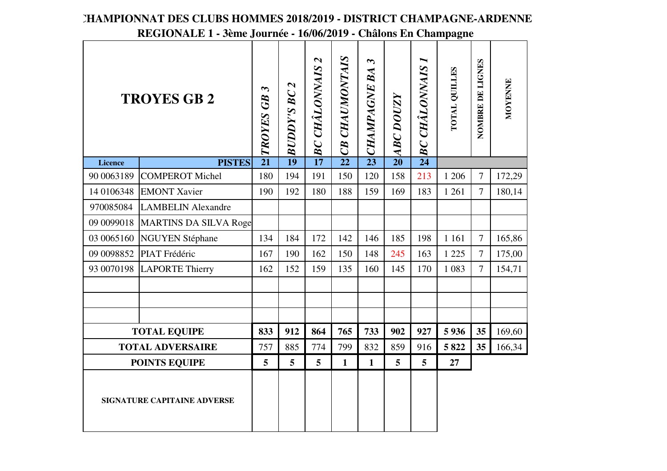|                                    | <b>TROYES GB 2</b>               | $\boldsymbol{\omega}$<br>TROYES GB | $\boldsymbol{\mathsf{N}}$<br><b>BUDDY'S BC</b> | <b>BC CHÂLONNAIS 2</b> | CB CHAUMONTAIS  | $\boldsymbol{\omega}$<br>BA<br><b>CHAMPAGNE</b> | <b>ABC DOUZY</b> | <b>BC CHÂLONNAIS</b> | <b>TOTAL QUILLES</b> | NOMBRE DE LIGNES | MOYENNE |
|------------------------------------|----------------------------------|------------------------------------|------------------------------------------------|------------------------|-----------------|-------------------------------------------------|------------------|----------------------|----------------------|------------------|---------|
| <b>Licence</b>                     | <b>PISTES</b>                    | $\overline{21}$                    | $\overline{19}$                                | $\overline{17}$        | $\overline{22}$ | $\overline{23}$                                 | $\overline{20}$  | $\overline{24}$      |                      |                  |         |
| 90 0063189                         | <b>COMPEROT Michel</b>           | 180                                | 194                                            | 191                    | 150             | 120                                             | 158              | 213                  | 1 206                | $\overline{7}$   | 172,29  |
| 14 0106348                         | <b>EMONT Xavier</b>              | 190                                | 192                                            | 180                    | 188             | 159                                             | 169              | 183                  | 1 2 6 1              | $\overline{7}$   | 180,14  |
|                                    | 970085084 LAMBELIN Alexandre     |                                    |                                                |                        |                 |                                                 |                  |                      |                      |                  |         |
|                                    | 09 0099018 MARTINS DA SILVA Roge |                                    |                                                |                        |                 |                                                 |                  |                      |                      |                  |         |
|                                    | 03 0065160 NGUYEN Stéphane       | 134                                | 184                                            | 172                    | 142             | 146                                             | 185              | 198                  | 1 1 6 1              | $\overline{7}$   | 165,86  |
|                                    | 09 0098852 PIAT Frédéric         | 167                                | 190                                            | 162                    | 150             | 148                                             | 245              | 163                  | 1 2 2 5              | $\overline{7}$   | 175,00  |
|                                    | 93 0070198 LAPORTE Thierry       | 162                                | 152                                            | 159                    | 135             | 160                                             | 145              | 170                  | 1 0 8 3              | $\overline{7}$   | 154,71  |
|                                    |                                  |                                    |                                                |                        |                 |                                                 |                  |                      |                      |                  |         |
|                                    |                                  |                                    |                                                |                        |                 |                                                 |                  |                      |                      |                  |         |
|                                    |                                  |                                    |                                                |                        |                 |                                                 |                  |                      |                      |                  |         |
|                                    | <b>TOTAL EQUIPE</b>              | 833                                | 912                                            | 864                    | 765             | 733                                             | 902              | 927                  | 5936                 | 35               | 169,60  |
|                                    | <b>TOTAL ADVERSAIRE</b>          | 757                                | 885                                            | 774                    | 799             | 832                                             | 859              | 916                  | 5822                 | 35               | 166,34  |
|                                    | <b>POINTS EQUIPE</b>             | 5                                  | 5                                              | 5                      | $\mathbf{1}$    | $\mathbf{1}$                                    | 5                | 5                    | 27                   |                  |         |
| <b>SIGNATURE CAPITAINE ADVERSE</b> |                                  |                                    |                                                |                        |                 |                                                 |                  |                      |                      |                  |         |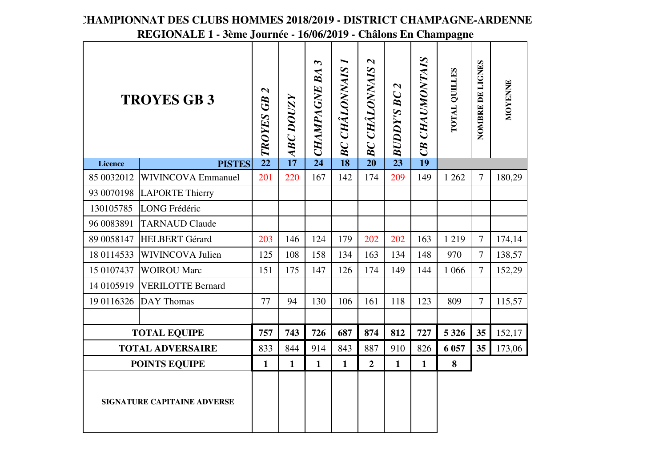#### CB CHAUMONTAIS *CB CHAUMONTAIS*  $\boldsymbol{\infty}$  $\blacksquare$  $\boldsymbol{\mathsf{N}}$ NOMBRE DE LIGNES *BC CHÂLONNAIS 1 BC CHÂLONNAIS 2 CHAMPAGNE BA 3* **NOMBRE DE LIGNES BC CHÂLONNAIS BC CHÂLONNAIS TOTAL QUILLES CHAMPAGNE BA TOTAL QUILLES** MOYENNE **MOYENNE**  $\boldsymbol{\mathcal{L}}$ *BUDDY'S BC 2*  $\boldsymbol{\mathsf{\Omega}}$ *TROYES GB 2* **BUDDY'S BC TROYES GB 3***ABC DOUZY* **ABC DOUZY TROYES GB PISTESLicence <sup>22</sup> <sup>17</sup> <sup>24</sup> <sup>18</sup> <sup>20</sup> <sup>23</sup> <sup>19</sup>** 85 0032012 WIVINCOVA Emmanuel 201 2200 | 167 | 142 | 174 | 209 | 149 | 1 262 | 7 | 180,29 93 0070198 LAPORTE Thierry130105785 LONG Frédéric96 0083891 TARNAUD Claude89 0058147 HELBERT Gérardd 203 146 124 179 202 202 163 1 219 7 174,14 18 0114533 WIVINCOVA Julien 125 | 108 | 158 | 134 | 163 | 134 | 148 | 970 | 7 138,57 15 0107437 WOIROU Marc 151 | 175 | 147 | 126 | 174 | 149 | 144 | 1066 | 7 | 152,29 14 0105919 VERILOTTE Bernard19 0116326 DAY Thomas 77 | 94 | 130 | 106 | 161 | 118 | 123 | 809 | 7 | 115,57 35 152,17 **TOTAL EQUIPE757 743 726 687 874 812 727 5 326 35 6 057 <sup>35</sup>** 173,06 **TOTAL ADVERSAIRE**833 844 914 843 887 910 826**POINTS EQUIPE1 1 1 1 2 1 1 8SIGNATURE CAPITAINE ADVERSE**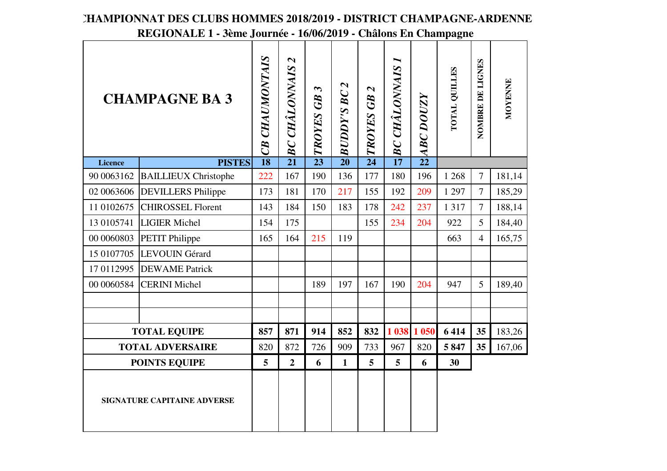|                                    | <b>CHAMPAGNE BA 3</b>       | CB CHAUMONTAIS  | $\boldsymbol{\mathsf{z}}$<br><b>CHÂLONNAIS</b><br>BC | $\boldsymbol{\epsilon}$<br>TROYES GB | $\boldsymbol{\mathsf{z}}$<br><b>BUDDY'S BC</b> | $\mathbf{z}$<br>TROYES GB | ►<br><b>BC CHÂLONNAIS</b> | <b>ABC DOUZY</b> | <b>TOTAL QUILLES</b> | NOMBRE DE LIGNES | MOYENNE |
|------------------------------------|-----------------------------|-----------------|------------------------------------------------------|--------------------------------------|------------------------------------------------|---------------------------|---------------------------|------------------|----------------------|------------------|---------|
| Licence                            | <b>PISTES</b>               | $\overline{18}$ | $\overline{21}$                                      | $\overline{23}$                      | $\overline{20}$                                | $\overline{24}$           | $\overline{17}$           | $\overline{22}$  |                      |                  |         |
| 90 0063162                         | <b>BAILLIEUX Christophe</b> | 222             | 167                                                  | 190                                  | 136                                            | 177                       | 180                       | 196              | 1 2 6 8              | $\overline{7}$   | 181,14  |
| 02 0063606                         | <b>DEVILLERS</b> Philippe   | 173             | 181                                                  | 170                                  | 217                                            | 155                       | 192                       | 209              | 1 2 9 7              | $\overline{7}$   | 185,29  |
| 11 0102675                         | <b>CHIROSSEL Florent</b>    | 143             | 184                                                  | 150                                  | 183                                            | 178                       | 242                       | 237              | 1317                 | $\overline{7}$   | 188,14  |
| 13 0105741                         | <b>LIGIER Michel</b>        | 154             | 175                                                  |                                      |                                                | 155                       | 234                       | 204              | 922                  | 5                | 184,40  |
| 00 0060803                         | <b>PETIT Philippe</b>       | 165             | 164                                                  | 215                                  | 119                                            |                           |                           |                  | 663                  | $\overline{4}$   | 165,75  |
| 15 0107705                         | LEVOUIN Gérard              |                 |                                                      |                                      |                                                |                           |                           |                  |                      |                  |         |
| 17 0112995                         | <b>DEWAME</b> Patrick       |                 |                                                      |                                      |                                                |                           |                           |                  |                      |                  |         |
| 00 00 60584                        | <b>CERINI Michel</b>        |                 |                                                      | 189                                  | 197                                            | 167                       | 190                       | 204              | 947                  | 5                | 189,40  |
|                                    |                             |                 |                                                      |                                      |                                                |                           |                           |                  |                      |                  |         |
|                                    |                             |                 |                                                      |                                      |                                                |                           |                           |                  |                      |                  |         |
|                                    | <b>TOTAL EQUIPE</b>         | 857             | 871                                                  | 914                                  | 852                                            | 832                       |                           | 1 038 1 050      | 6414                 | 35               | 183,26  |
|                                    | <b>TOTAL ADVERSAIRE</b>     | 820             | 872                                                  | 726                                  | 909                                            | 733                       | 967                       | 820              | 5847                 | 35               | 167,06  |
| <b>POINTS EQUIPE</b>               |                             | 5               | $\overline{2}$                                       | 6                                    | $\mathbf{1}$                                   | 5                         | 5                         | 6                | 30                   |                  |         |
| <b>SIGNATURE CAPITAINE ADVERSE</b> |                             |                 |                                                      |                                      |                                                |                           |                           |                  |                      |                  |         |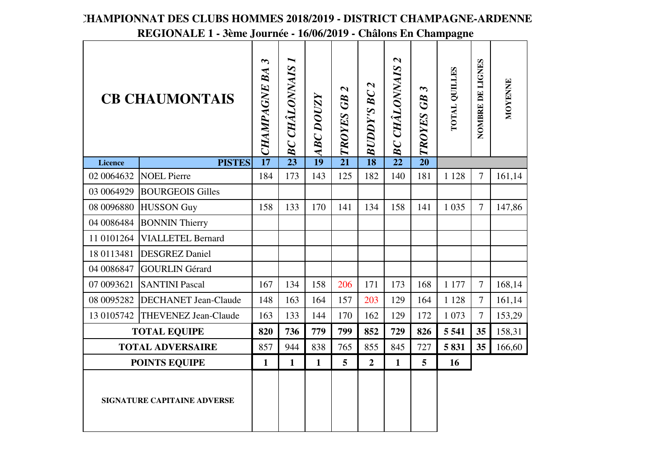|                             | <b>CB CHAUMONTAIS</b>       | $\boldsymbol{\omega}$<br><b>CHAMPAGNE BA</b> | <b>CHÂLONNAIS</b><br>BC | <b>ABC DOUZY</b> | $\boldsymbol{\mathsf{N}}$<br>TROYES GB | $\boldsymbol{\sim}$<br><b>BUDDY'S BC</b> | $\boldsymbol{\mathsf{z}}$<br><b>CHÂLONNAIS</b><br>BC | $\boldsymbol{\omega}$<br>TROYES GB | <b>POTAL QUILLES</b> | NOMBRE DE LIGNES | MOYENNE |
|-----------------------------|-----------------------------|----------------------------------------------|-------------------------|------------------|----------------------------------------|------------------------------------------|------------------------------------------------------|------------------------------------|----------------------|------------------|---------|
| <b>Licence</b>              | <b>PISTES</b>               | $\overline{17}$                              | $\overline{23}$         | 19               | $\overline{21}$                        | $\overline{18}$                          | $\overline{22}$                                      | $\overline{20}$                    |                      |                  |         |
| 02 0064632                  | <b>NOEL Pierre</b>          | 184                                          | 173                     | 143              | 125                                    | 182                                      | 140                                                  | 181                                | 1 1 2 8              | $\overline{7}$   | 161,14  |
| 03 0064929                  | <b>BOURGEOIS Gilles</b>     |                                              |                         |                  |                                        |                                          |                                                      |                                    |                      |                  |         |
| 08 0096880                  | <b>HUSSON Guy</b>           | 158                                          | 133                     | 170              | 141                                    | 134                                      | 158                                                  | 141                                | 1 0 3 5              | $\overline{7}$   | 147,86  |
| 04 0086484                  | <b>BONNIN Thierry</b>       |                                              |                         |                  |                                        |                                          |                                                      |                                    |                      |                  |         |
| 11 0101264                  | <b>VIALLETEL Bernard</b>    |                                              |                         |                  |                                        |                                          |                                                      |                                    |                      |                  |         |
| 18 0113481                  | <b>DESGREZ Daniel</b>       |                                              |                         |                  |                                        |                                          |                                                      |                                    |                      |                  |         |
| 04 0086847                  | <b>GOURLIN Gérard</b>       |                                              |                         |                  |                                        |                                          |                                                      |                                    |                      |                  |         |
| 07 0093621                  | <b>SANTINI Pascal</b>       | 167                                          | 134                     | 158              | 206                                    | 171                                      | 173                                                  | 168                                | 1 177                | $\tau$           | 168,14  |
| 08 0095282                  | <b>DECHANET Jean-Claude</b> | 148                                          | 163                     | 164              | 157                                    | 203                                      | 129                                                  | 164                                | 1 1 2 8              | $\overline{7}$   | 161,14  |
| 13 0105742                  | <b>THEVENEZ Jean-Claude</b> | 163                                          | 133                     | 144              | 170                                    | 162                                      | 129                                                  | 172                                | 1 0 7 3              | $\overline{7}$   | 153,29  |
|                             | <b>TOTAL EQUIPE</b>         | 820                                          | 736                     | 779              | 799                                    | 852                                      | 729                                                  | 826                                | 5 5 4 1              | 35               | 158,31  |
|                             | <b>TOTAL ADVERSAIRE</b>     | 857                                          | 944                     | 838              | 765                                    | 855                                      | 845                                                  | 727                                | 5831                 | 35               | 166,60  |
|                             | <b>POINTS EQUIPE</b>        | $\mathbf{1}$                                 | $\mathbf{1}$            | $\mathbf{1}$     | $\overline{5}$                         | $\overline{2}$                           | $\mathbf{1}$                                         | 5                                  | 16                   |                  |         |
| SIGNATURE CAPITAINE ADVERSE |                             |                                              |                         |                  |                                        |                                          |                                                      |                                    |                      |                  |         |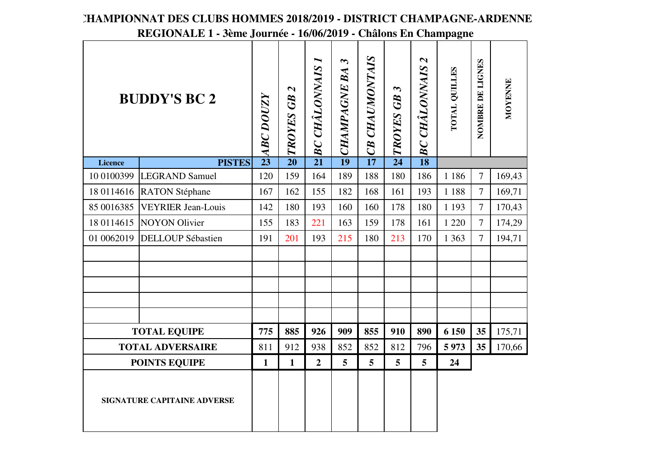|                                    | <b>BUDDY'S BC 2</b>       | <b>ABC DOUZY</b> | $\boldsymbol{\mathsf{N}}$<br>TROYES GB | <b>BC CHÂLONNAIS I</b> | $\boldsymbol{\omega}$<br><b>CHAMPAGNE BA</b> | <b>CHAUMONTAIS</b><br>CB | $\boldsymbol{\omega}$<br>TROYES GB | $\boldsymbol{\mathcal{C}}$<br><b>BC CHÂLONNAIS</b> | <b>POTAL QUILLES</b> | NOMBRE DE LIGNES | <b>MOYENNE</b> |
|------------------------------------|---------------------------|------------------|----------------------------------------|------------------------|----------------------------------------------|--------------------------|------------------------------------|----------------------------------------------------|----------------------|------------------|----------------|
| <b>Licence</b>                     | <b>PISTES</b>             | $\overline{23}$  | $\overline{20}$                        | $\overline{21}$        | $\overline{19}$                              | $\overline{17}$          | $\overline{24}$                    | $\overline{18}$                                    |                      |                  |                |
| 10 0100399                         | <b>LEGRAND Samuel</b>     | 120              | 159                                    | 164                    | 189                                          | 188                      | 180                                | 186                                                | 1 1 8 6              | $\overline{7}$   | 169,43         |
| 18 0114616                         | <b>RATON Stéphane</b>     | 167              | 162                                    | 155                    | 182                                          | 168                      | 161                                | 193                                                | 1 1 8 8              | $\overline{7}$   | 169,71         |
| 85 0016385                         | <b>VEYRIER Jean-Louis</b> | 142              | 180                                    | 193                    | 160                                          | 160                      | 178                                | 180                                                | 1 1 9 3              | $\overline{7}$   | 170,43         |
| 18 0114615                         | <b>NOYON Olivier</b>      | 155              | 183                                    | 221                    | 163                                          | 159                      | 178                                | 161                                                | 1 2 2 0              | $\overline{7}$   | 174,29         |
| 01 0062019                         | <b>DELLOUP Sébastien</b>  | 191              | 201                                    | 193                    | 215                                          | 180                      | 213                                | 170                                                | 1 3 6 3              | $\overline{7}$   | 194,71         |
|                                    |                           |                  |                                        |                        |                                              |                          |                                    |                                                    |                      |                  |                |
|                                    | <b>TOTAL EQUIPE</b>       | 775              | 885                                    | 926                    | 909                                          | 855                      | 910                                | 890                                                | 6 150                | 35               | 175,71         |
|                                    | <b>TOTAL ADVERSAIRE</b>   | 811              | 912                                    | 938                    | 852                                          | 852                      | 812                                | 796                                                | 5973                 | 35               | 170,66         |
|                                    | <b>POINTS EQUIPE</b>      | $\mathbf{1}$     | $\mathbf{1}$                           | $\overline{2}$         | $\overline{5}$                               | $\overline{5}$           | $5\overline{)}$                    | 5                                                  | 24                   |                  |                |
| <b>SIGNATURE CAPITAINE ADVERSE</b> |                           |                  |                                        |                        |                                              |                          |                                    |                                                    |                      |                  |                |